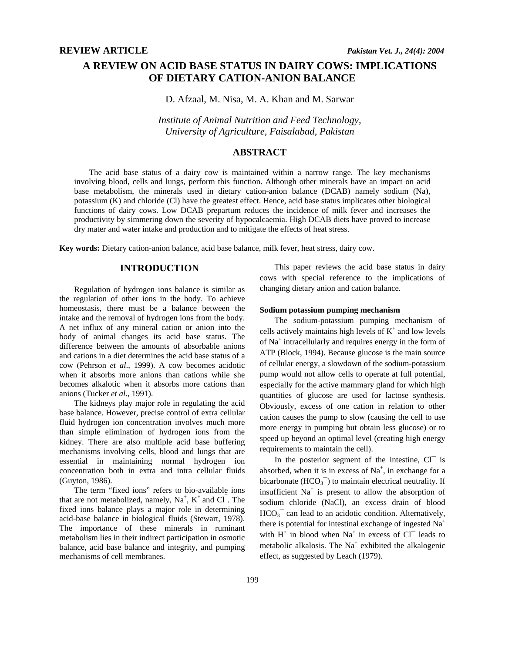# **A REVIEW ON ACID BASE STATUS IN DAIRY COWS: IMPLICATIONS OF DIETARY CATION-ANION BALANCE**

D. Afzaal, M. Nisa, M. A. Khan and M. Sarwar

*Institute of Animal Nutrition and Feed Technology, University of Agriculture, Faisalabad, Pakistan* 

# **ABSTRACT**

The acid base status of a dairy cow is maintained within a narrow range. The key mechanisms involving blood, cells and lungs, perform this function. Although other minerals have an impact on acid base metabolism, the minerals used in dietary cation-anion balance (DCAB) namely sodium (Na), potassium (K) and chloride (Cl) have the greatest effect. Hence, acid base status implicates other biological functions of dairy cows. Low DCAB prepartum reduces the incidence of milk fever and increases the productivity by simmering down the severity of hypocalcaemia. High DCAB diets have proved to increase dry mater and water intake and production and to mitigate the effects of heat stress.

**Key words:** Dietary cation-anion balance, acid base balance, milk fever, heat stress, dairy cow.

# **INTRODUCTION**

Regulation of hydrogen ions balance is similar as the regulation of other ions in the body. To achieve homeostasis, there must be a balance between the intake and the removal of hydrogen ions from the body. A net influx of any mineral cation or anion into the body of animal changes its acid base status. The difference between the amounts of absorbable anions and cations in a diet determines the acid base status of a cow (Pehrson *et al*., 1999). A cow becomes acidotic when it absorbs more anions than cations while she becomes alkalotic when it absorbs more cations than anions (Tucker *et al*., 1991).

The kidneys play major role in regulating the acid base balance. However, precise control of extra cellular fluid hydrogen ion concentration involves much more than simple elimination of hydrogen ions from the kidney. There are also multiple acid base buffering mechanisms involving cells, blood and lungs that are essential in maintaining normal hydrogen ion concentration both in extra and intra cellular fluids (Guyton, 1986).

The term "fixed ions" refers to bio-available ions that are not metabolized, namely,  $Na^+$ ,  $K^+$  and Cl  $\overline{\phantom{a}}$ . The fixed ions balance plays a major role in determining acid-base balance in biological fluids (Stewart, 1978). The importance of these minerals in ruminant metabolism lies in their indirect participation in osmotic balance, acid base balance and integrity, and pumping mechanisms of cell membranes.

This paper reviews the acid base status in dairy cows with special reference to the implications of changing dietary anion and cation balance.

### **Sodium potassium pumping mechanism**

The sodium-potassium pumping mechanism of cells actively maintains high levels of  $K^+$  and low levels of Na+ intracellularly and requires energy in the form of ATP (Block, 1994). Because glucose is the main source of cellular energy, a slowdown of the sodium-potassium pump would not allow cells to operate at full potential, especially for the active mammary gland for which high quantities of glucose are used for lactose synthesis. Obviously, excess of one cation in relation to other cation causes the pump to slow (causing the cell to use more energy in pumping but obtain less glucose) or to speed up beyond an optimal level (creating high energy requirements to maintain the cell).

In the posterior segment of the intestine, Cl<sup>-</sup> is absorbed, when it is in excess of  $Na^+$ , in exchange for a bicarbonate  $(HCO<sub>3</sub><sup>-</sup>)$  to maintain electrical neutrality. If insufficient  $Na<sup>+</sup>$  is present to allow the absorption of sodium chloride (NaCl), an excess drain of blood  $HCO<sub>3</sub>^-$  can lead to an acidotic condition. Alternatively, there is potential for intestinal exchange of ingested  $Na<sup>+</sup>$ with  $H^+$  in blood when  $Na^+$  in excess of Cl<sup>-</sup> leads to metabolic alkalosis. The  $Na<sup>+</sup>$  exhibited the alkalogenic effect, as suggested by Leach (1979).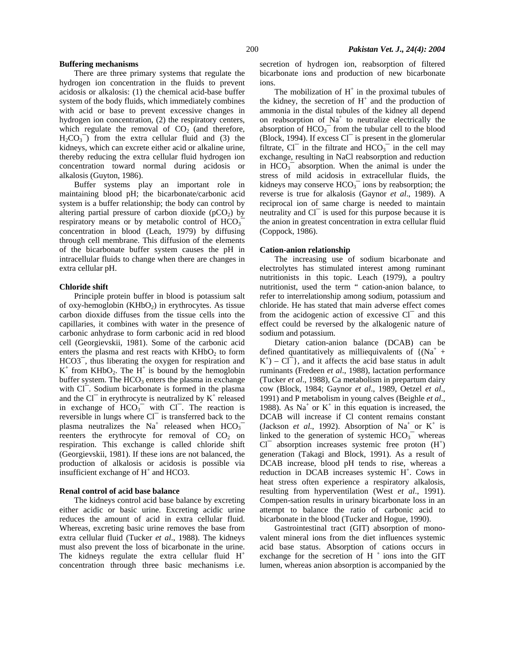#### **Buffering mechanisms**

There are three primary systems that regulate the hydrogen ion concentration in the fluids to prevent acidosis or alkalosis: (1) the chemical acid-base buffer system of the body fluids, which immediately combines with acid or base to prevent excessive changes in hydrogen ion concentration, (2) the respiratory centers, which regulate the removal of  $CO<sub>2</sub>$  (and therefore,  $H_2CO_3^-$ ) from the extra cellular fluid and (3) the kidneys, which can excrete either acid or alkaline urine, thereby reducing the extra cellular fluid hydrogen ion concentration toward normal during acidosis or alkalosis (Guyton, 1986).

Buffer systems play an important role in maintaining blood pH; the bicarbonate/carbonic acid system is a buffer relationship; the body can control by altering partial pressure of carbon dioxide  $(pCO<sub>2</sub>)$  by respiratory means or by metabolic control of  $HCO<sub>3</sub>$ concentration in blood (Leach, 1979) by diffusing through cell membrane. This diffusion of the elements of the bicarbonate buffer system causes the pH in intracellular fluids to change when there are changes in extra cellular pH.

#### **Chloride shift**

Principle protein buffer in blood is potassium salt of oxy-hemoglobin  $(KHbO<sub>2</sub>)$  in erythrocytes. As tissue carbon dioxide diffuses from the tissue cells into the capillaries, it combines with water in the presence of carbonic anhydrase to form carbonic acid in red blood cell (Georgievskii, 1981). Some of the carbonic acid enters the plasma and rest reacts with  $KHbO<sub>2</sub>$  to form HCO3¯, thus liberating the oxygen for respiration and  $K^+$  from KHbO<sub>2</sub>. The H<sup>+</sup> is bound by the hemoglobin buffer system. The  $HCO<sub>3</sub>$  enters the plasma in exchange with Cl <sup>-</sup>. Sodium bicarbonate is formed in the plasma and the Cl $^-$  in erythrocyte is neutralized by  $K^+$  released in exchange of  $HCO<sub>3</sub><sup>-</sup>$  with Cl<sup>-</sup>. The reaction is reversible in lungs where Cl<sup>-</sup> is transferred back to the plasma neutralizes the  $Na<sup>+</sup>$  released when  $HCO<sub>3</sub>$ reenters the erythrocyte for removal of  $CO<sub>2</sub>$  on respiration. This exchange is called chloride shift (Georgievskii, 1981). If these ions are not balanced, the production of alkalosis or acidosis is possible via insufficient exchange of  $H^+$  and HCO3.

#### **Renal control of acid base balance**

The kidneys control acid base balance by excreting either acidic or basic urine. Excreting acidic urine reduces the amount of acid in extra cellular fluid. Whereas, excreting basic urine removes the base from extra cellular fluid (Tucker *et al*., 1988). The kidneys must also prevent the loss of bicarbonate in the urine. The kidneys regulate the extra cellular fluid  $H^+$ concentration through three basic mechanisms i.e. secretion of hydrogen ion, reabsorption of filtered bicarbonate ions and production of new bicarbonate ions.

The mobilization of  $H^+$  in the proximal tubules of the kidney, the secretion of  $H^+$  and the production of ammonia in the distal tubules of the kidney all depend on reabsorption of  $Na<sup>+</sup>$  to neutralize electrically the absorption of  $HCO<sub>3</sub><sup>-</sup>$  from the tubular cell to the blood (Block, 1994). If excess  $Cl^-$  is present in the glomerular filtrate,  $Cl^-$  in the filtrate and  $HCO_3^-$  in the cell may exchange, resulting in NaCl reabsorption and reduction in  $HCO<sub>3</sub><sup>-</sup>$  absorption. When the animal is under the stress of mild acidosis in extracellular fluids, the kidneys may conserve  $HCO<sub>3</sub><sup>-</sup>$  ions by reabsorption; the reverse is true for alkalosis (Gaynor *et al*., 1989). A reciprocal ion of same charge is needed to maintain neutrality and Cl<sup>-</sup> is used for this purpose because it is the anion in greatest concentration in extra cellular fluid (Coppock, 1986).

#### **Cation-anion relationship**

The increasing use of sodium bicarbonate and electrolytes has stimulated interest among ruminant nutritionists in this topic. Leach (1979), a poultry nutritionist, used the term " cation-anion balance, to refer to interrelationship among sodium, potassium and chloride. He has stated that main adverse effect comes from the acidogenic action of excessive Cl<sup>-</sup> and this effect could be reversed by the alkalogenic nature of sodium and potassium.

Dietary cation-anion balance (DCAB) can be defined quantitatively as milliequivalents of  $\{(\text{Na}^+ +$  $K^+$ ) – Cl<sup>-</sup>}, and it affects the acid base status in adult ruminants (Fredeen *et al*., 1988), lactation performance (Tucker *et al*., 1988), Ca metabolism in prepartum dairy cow (Block, 1984; Gaynor *et al*., 1989, Oetzel *et al*., 1991) and P metabolism in young calves (Beighle *et al*., 1988). As  $Na<sup>+</sup>$  or  $K<sup>+</sup>$  in this equation is increased, the DCAB will increase if Cl content remains constant (Jackson *et al.*, 1992). Absorption of  $Na<sup>+</sup>$  or  $K<sup>+</sup>$  is linked to the generation of systemic  $HCO<sub>3</sub><sup>-</sup>$  whereas  $Cl^-$  absorption increases systemic free proton  $(H^+)$ generation (Takagi and Block, 1991). As a result of DCAB increase, blood pH tends to rise, whereas a reduction in DCAB increases systemic H<sup>+</sup>. Cows in heat stress often experience a respiratory alkalosis, resulting from hyperventilation (West *et al*., 1991). Compen-sation results in urinary bicarbonate loss in an attempt to balance the ratio of carbonic acid to bicarbonate in the blood (Tucker and Hogue, 1990).

Gastrointestinal tract (GIT) absorption of monovalent mineral ions from the diet influences systemic acid base status. Absorption of cations occurs in exchange for the secretion of  $H^+$  ions into the GIT lumen, whereas anion absorption is accompanied by the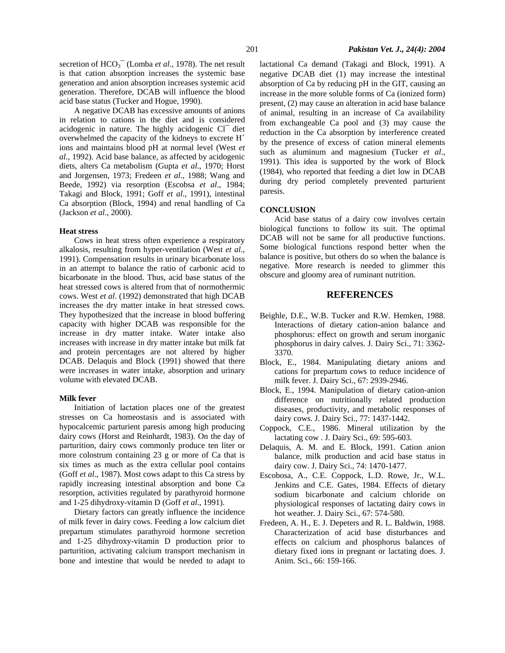secretion of HCO<sub>3</sub><sup>-</sup> (Lomba *et al.*, 1978). The net result is that cation absorption increases the systemic base generation and anion absorption increases systemic acid generation. Therefore, DCAB will influence the blood acid base status (Tucker and Hogue, 1990).

A negative DCAB has excessive amounts of anions in relation to cations in the diet and is considered acidogenic in nature. The highly acidogenic Cl<sup>-</sup> diet overwhelmed the capacity of the kidneys to excrete  $H^+$ ions and maintains blood pH at normal level (West *et al*., 1992). Acid base balance, as affected by acidogenic diets, alters Ca metabolism (Gupta *et al*., 1970; Horst and Jorgensen, 1973; Fredeen *et al*., 1988; Wang and Beede, 1992) via resorption (Escobsa *et al*., 1984; Takagi and Block, 1991; Goff *et al*., 1991), intestinal Ca absorption (Block, 1994) and renal handling of Ca (Jackson *et al*., 2000).

#### **Heat stress**

Cows in heat stress often experience a respiratory alkalosis, resulting from hyper-ventilation (West *et al*., 1991). Compensation results in urinary bicarbonate loss in an attempt to balance the ratio of carbonic acid to bicarbonate in the blood. Thus, acid base status of the heat stressed cows is altered from that of normothermic cows. West *et al*. (1992) demonstrated that high DCAB increases the dry matter intake in heat stressed cows. They hypothesized that the increase in blood buffering capacity with higher DCAB was responsible for the increase in dry matter intake. Water intake also increases with increase in dry matter intake but milk fat and protein percentages are not altered by higher DCAB. Delaquis and Block (1991) showed that there were increases in water intake, absorption and urinary volume with elevated DCAB.

#### **Milk fever**

Initiation of lactation places one of the greatest stresses on Ca homeostasis and is associated with hypocalcemic parturient paresis among high producing dairy cows (Horst and Reinhardt, 1983). On the day of parturition, dairy cows commonly produce ten liter or more colostrum containing 23 g or more of Ca that is six times as much as the extra cellular pool contains (Goff *et al*., 1987). Most cows adapt to this Ca stress by rapidly increasing intestinal absorption and bone Ca resorption, activities regulated by parathyroid hormone and 1-25 dihydroxy-vitamin D (Goff *et al*., 1991).

Dietary factors can greatly influence the incidence of milk fever in dairy cows. Feeding a low calcium diet prepartum stimulates parathyroid hormone secretion and 1-25 dihydroxy-vitamin D production prior to parturition, activating calcium transport mechanism in bone and intestine that would be needed to adapt to

lactational Ca demand (Takagi and Block, 1991). A negative DCAB diet (1) may increase the intestinal absorption of Ca by reducing pH in the GIT, causing an increase in the more soluble forms of Ca (ionized form) present, (2) may cause an alteration in acid base balance of animal, resulting in an increase of Ca availability from exchangeable Ca pool and (3) may cause the reduction in the Ca absorption by interference created by the presence of excess of cation mineral elements such as aluminum and magnesium (Tucker *et al*., 1991). This idea is supported by the work of Block (1984), who reported that feeding a diet low in DCAB during dry period completely prevented parturient paresis.

### **CONCLUSION**

Acid base status of a dairy cow involves certain biological functions to follow its suit. The optimal DCAB will not be same for all productive functions. Some biological functions respond better when the balance is positive, but others do so when the balance is negative. More research is needed to glimmer this obscure and gloomy area of ruminant nutrition.

## **REFERENCES**

- Beighle, D.E., W.B. Tucker and R.W. Hemken, 1988. Interactions of dietary cation-anion balance and phosphorus: effect on growth and serum inorganic phosphorus in dairy calves. J. Dairy Sci., 71: 3362- 3370.
- Block, E., 1984. Manipulating dietary anions and cations for prepartum cows to reduce incidence of milk fever. J. Dairy Sci., 67: 2939-2946.
- Block, E., 1994. Manipulation of dietary cation-anion difference on nutritionally related production diseases, productivity, and metabolic responses of dairy cows. J. Dairy Sci., 77: 1437-1442.
- Coppock, C.E., 1986. Mineral utilization by the lactating cow . J. Dairy Sci., 69: 595-603.
- Delaquis, A. M. and E. Block, 1991. Cation anion balance, milk production and acid base status in dairy cow. J. Dairy Sci., 74: 1470-1477.
- Escobosa, A., C.E. Coppock, L.D. Rowe, Jr., W.L. Jenkins and C.E. Gates, 1984. Effects of dietary sodium bicarbonate and calcium chloride on physiological responses of lactating dairy cows in hot weather. J. Dairy Sci., 67: 574-580.
- Fredeen, A. H., E. J. Depeters and R. L. Baldwin, 1988. Characterization of acid base disturbances and effects on calcium and phosphorus balances of dietary fixed ions in pregnant or lactating does. J. Anim. Sci., 66: 159-166.